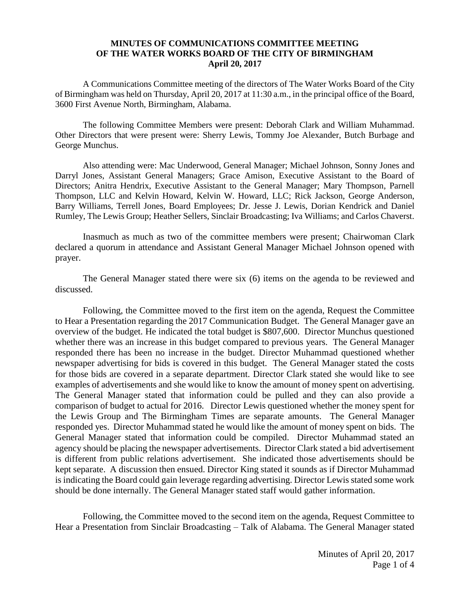## **MINUTES OF COMMUNICATIONS COMMITTEE MEETING OF THE WATER WORKS BOARD OF THE CITY OF BIRMINGHAM April 20, 2017**

A Communications Committee meeting of the directors of The Water Works Board of the City of Birmingham was held on Thursday, April 20, 2017 at 11:30 a.m., in the principal office of the Board, 3600 First Avenue North, Birmingham, Alabama.

The following Committee Members were present: Deborah Clark and William Muhammad. Other Directors that were present were: Sherry Lewis, Tommy Joe Alexander, Butch Burbage and George Munchus.

Also attending were: Mac Underwood, General Manager; Michael Johnson, Sonny Jones and Darryl Jones, Assistant General Managers; Grace Amison, Executive Assistant to the Board of Directors; Anitra Hendrix, Executive Assistant to the General Manager; Mary Thompson, Parnell Thompson, LLC and Kelvin Howard, Kelvin W. Howard, LLC; Rick Jackson, George Anderson, Barry Williams, Terrell Jones, Board Employees; Dr. Jesse J. Lewis, Dorian Kendrick and Daniel Rumley, The Lewis Group; Heather Sellers, Sinclair Broadcasting; Iva Williams; and Carlos Chaverst.

Inasmuch as much as two of the committee members were present; Chairwoman Clark declared a quorum in attendance and Assistant General Manager Michael Johnson opened with prayer.

The General Manager stated there were six (6) items on the agenda to be reviewed and discussed.

Following, the Committee moved to the first item on the agenda, Request the Committee to Hear a Presentation regarding the 2017 Communication Budget. The General Manager gave an overview of the budget. He indicated the total budget is \$807,600. Director Munchus questioned whether there was an increase in this budget compared to previous years. The General Manager responded there has been no increase in the budget. Director Muhammad questioned whether newspaper advertising for bids is covered in this budget. The General Manager stated the costs for those bids are covered in a separate department. Director Clark stated she would like to see examples of advertisements and she would like to know the amount of money spent on advertising. The General Manager stated that information could be pulled and they can also provide a comparison of budget to actual for 2016. Director Lewis questioned whether the money spent for the Lewis Group and The Birmingham Times are separate amounts. The General Manager responded yes. Director Muhammad stated he would like the amount of money spent on bids. The General Manager stated that information could be compiled. Director Muhammad stated an agency should be placing the newspaper advertisements. Director Clark stated a bid advertisement is different from public relations advertisement. She indicated those advertisements should be kept separate. A discussion then ensued. Director King stated it sounds as if Director Muhammad is indicating the Board could gain leverage regarding advertising. Director Lewis stated some work should be done internally. The General Manager stated staff would gather information.

Following, the Committee moved to the second item on the agenda, Request Committee to Hear a Presentation from Sinclair Broadcasting – Talk of Alabama. The General Manager stated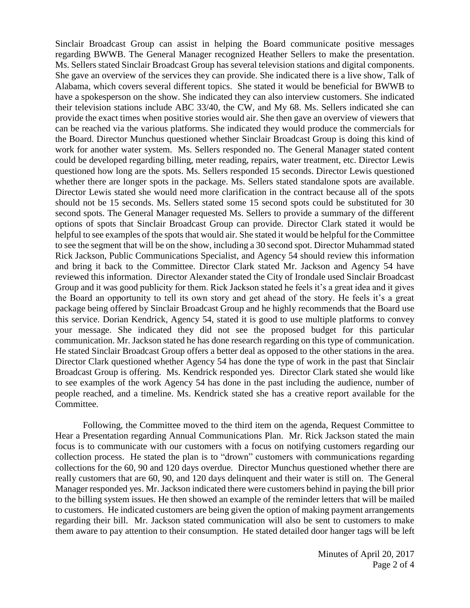Sinclair Broadcast Group can assist in helping the Board communicate positive messages regarding BWWB. The General Manager recognized Heather Sellers to make the presentation. Ms. Sellers stated Sinclair Broadcast Group has several television stations and digital components. She gave an overview of the services they can provide. She indicated there is a live show, Talk of Alabama, which covers several different topics. She stated it would be beneficial for BWWB to have a spokesperson on the show. She indicated they can also interview customers. She indicated their television stations include ABC 33/40, the CW, and My 68. Ms. Sellers indicated she can provide the exact times when positive stories would air. She then gave an overview of viewers that can be reached via the various platforms. She indicated they would produce the commercials for the Board. Director Munchus questioned whether Sinclair Broadcast Group is doing this kind of work for another water system. Ms. Sellers responded no. The General Manager stated content could be developed regarding billing, meter reading, repairs, water treatment, etc. Director Lewis questioned how long are the spots. Ms. Sellers responded 15 seconds. Director Lewis questioned whether there are longer spots in the package. Ms. Sellers stated standalone spots are available. Director Lewis stated she would need more clarification in the contract because all of the spots should not be 15 seconds. Ms. Sellers stated some 15 second spots could be substituted for 30 second spots. The General Manager requested Ms. Sellers to provide a summary of the different options of spots that Sinclair Broadcast Group can provide. Director Clark stated it would be helpful to see examples of the spots that would air. She stated it would be helpful for the Committee to see the segment that will be on the show, including a 30 second spot. Director Muhammad stated Rick Jackson, Public Communications Specialist, and Agency 54 should review this information and bring it back to the Committee. Director Clark stated Mr. Jackson and Agency 54 have reviewed this information. Director Alexander stated the City of Irondale used Sinclair Broadcast Group and it was good publicity for them. Rick Jackson stated he feels it's a great idea and it gives the Board an opportunity to tell its own story and get ahead of the story. He feels it's a great package being offered by Sinclair Broadcast Group and he highly recommends that the Board use this service. Dorian Kendrick, Agency 54, stated it is good to use multiple platforms to convey your message. She indicated they did not see the proposed budget for this particular communication. Mr. Jackson stated he has done research regarding on this type of communication. He stated Sinclair Broadcast Group offers a better deal as opposed to the other stations in the area. Director Clark questioned whether Agency 54 has done the type of work in the past that Sinclair Broadcast Group is offering. Ms. Kendrick responded yes. Director Clark stated she would like to see examples of the work Agency 54 has done in the past including the audience, number of people reached, and a timeline. Ms. Kendrick stated she has a creative report available for the Committee.

Following, the Committee moved to the third item on the agenda, Request Committee to Hear a Presentation regarding Annual Communications Plan. Mr. Rick Jackson stated the main focus is to communicate with our customers with a focus on notifying customers regarding our collection process. He stated the plan is to "drown" customers with communications regarding collections for the 60, 90 and 120 days overdue. Director Munchus questioned whether there are really customers that are 60, 90, and 120 days delinquent and their water is still on. The General Manager responded yes. Mr. Jackson indicated there were customers behind in paying the bill prior to the billing system issues. He then showed an example of the reminder letters that will be mailed to customers. He indicated customers are being given the option of making payment arrangements regarding their bill. Mr. Jackson stated communication will also be sent to customers to make them aware to pay attention to their consumption. He stated detailed door hanger tags will be left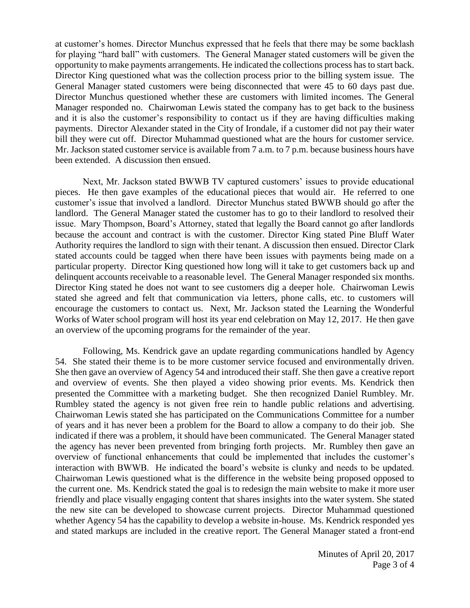at customer's homes. Director Munchus expressed that he feels that there may be some backlash for playing "hard ball" with customers. The General Manager stated customers will be given the opportunity to make payments arrangements. He indicated the collections process has to start back. Director King questioned what was the collection process prior to the billing system issue. The General Manager stated customers were being disconnected that were 45 to 60 days past due. Director Munchus questioned whether these are customers with limited incomes. The General Manager responded no. Chairwoman Lewis stated the company has to get back to the business and it is also the customer's responsibility to contact us if they are having difficulties making payments. Director Alexander stated in the City of Irondale, if a customer did not pay their water bill they were cut off. Director Muhammad questioned what are the hours for customer service. Mr. Jackson stated customer service is available from 7 a.m. to 7 p.m. because business hours have been extended. A discussion then ensued.

Next, Mr. Jackson stated BWWB TV captured customers' issues to provide educational pieces. He then gave examples of the educational pieces that would air. He referred to one customer's issue that involved a landlord. Director Munchus stated BWWB should go after the landlord. The General Manager stated the customer has to go to their landlord to resolved their issue. Mary Thompson, Board's Attorney, stated that legally the Board cannot go after landlords because the account and contract is with the customer. Director King stated Pine Bluff Water Authority requires the landlord to sign with their tenant. A discussion then ensued. Director Clark stated accounts could be tagged when there have been issues with payments being made on a particular property. Director King questioned how long will it take to get customers back up and delinquent accounts receivable to a reasonable level. The General Manager responded six months. Director King stated he does not want to see customers dig a deeper hole. Chairwoman Lewis stated she agreed and felt that communication via letters, phone calls, etc. to customers will encourage the customers to contact us. Next, Mr. Jackson stated the Learning the Wonderful Works of Water school program will host its year end celebration on May 12, 2017. He then gave an overview of the upcoming programs for the remainder of the year.

Following, Ms. Kendrick gave an update regarding communications handled by Agency 54. She stated their theme is to be more customer service focused and environmentally driven. She then gave an overview of Agency 54 and introduced their staff. She then gave a creative report and overview of events. She then played a video showing prior events. Ms. Kendrick then presented the Committee with a marketing budget. She then recognized Daniel Rumbley. Mr. Rumbley stated the agency is not given free rein to handle public relations and advertising. Chairwoman Lewis stated she has participated on the Communications Committee for a number of years and it has never been a problem for the Board to allow a company to do their job. She indicated if there was a problem, it should have been communicated. The General Manager stated the agency has never been prevented from bringing forth projects. Mr. Rumbley then gave an overview of functional enhancements that could be implemented that includes the customer's interaction with BWWB. He indicated the board's website is clunky and needs to be updated. Chairwoman Lewis questioned what is the difference in the website being proposed opposed to the current one. Ms. Kendrick stated the goal is to redesign the main website to make it more user friendly and place visually engaging content that shares insights into the water system. She stated the new site can be developed to showcase current projects. Director Muhammad questioned whether Agency 54 has the capability to develop a website in-house. Ms. Kendrick responded yes and stated markups are included in the creative report. The General Manager stated a front-end